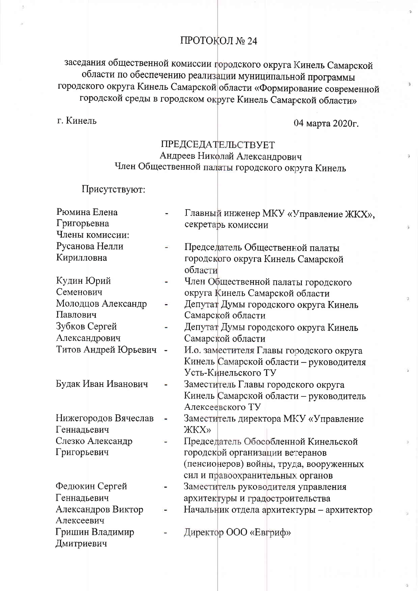# ПРОТОКОЛ № 24

заседания общественной комиссии городского округа Кинель Самарской области по обеспечению реализации муниципальной программы городского округа Кинель Самарской области «Формирование современной городской среды в городском округе Кинель Самарской области»

г. Кинель

04 марта 2020г.

## ПРЕДСЕДАТЕЛЬСТВУЕТ Андреев Николай Александрович Член Общественной палаты городского округа Кинель

Присутствуют:

| Рюмина Елена         | Главный инженер МКУ «Управление ЖКХ»,     |
|----------------------|-------------------------------------------|
| Григорьевна          | секретарь комиссии                        |
| Члены комиссии:      |                                           |
| Русанова Нелли       | Председатель Общественной палаты          |
| Кирилловна           | городского округа Кинель Самарской        |
|                      | области                                   |
| Кудин Юрий           | Член Общественной палаты городского       |
| Семенович            | округа Кинель Самарской области           |
| Молодцов Александр   | Депутат Думы городского округа Кинель     |
| Павлович             | Самарской области                         |
| Зубков Сергей        | Депутат Думы городского округа Кинель     |
| Александрович        | Самарской области                         |
| Титов Андрей Юрьевич | И.о. заместителя Главы городского округа  |
|                      | Кинель Самарской области - руководителя   |
|                      | Усть-Кинельского ТУ                       |
| Будак Иван Иванович  | Заместитель Главы городского округа       |
|                      | Кинель Самарской области - руководитель   |
|                      | Алексеевского ТУ                          |
| Нижегородов Вячеслав | Заместитель директора МКУ «Управление     |
| Геннадьевич          | <b>ЖКХ»</b>                               |
| Слезко Александр     | Председатель Обособленной Кинельской      |
| Григорьевич          | городской организации ветеранов           |
|                      | (пенсионеров) войны, труда, вооруженных   |
|                      | сил и правоохранительных органов          |
| Федюкин Сергей       | Заместитель руководителя управления       |
| Геннадьевич          | архитектуры и градостроительства          |
| Александров Виктор   | Начальник отдела архитектуры - архитектор |
| Алексеевич           |                                           |
| Гришин Владимир      | Директор ООО «Евгриф»                     |
| Дмитриевич           |                                           |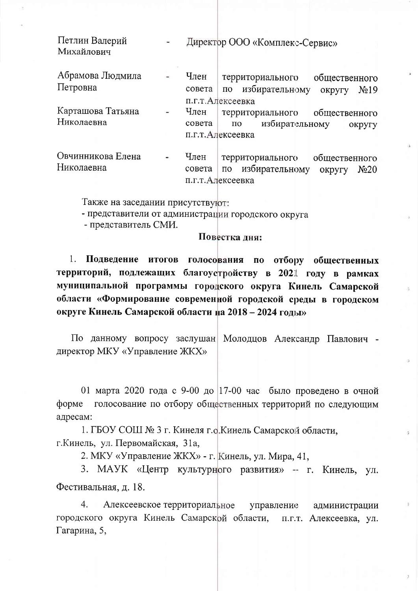| Петлин Валерий<br>Михайлович    |                |                | Директор ООО «Комплекс-Сервис»                                                                                    |
|---------------------------------|----------------|----------------|-------------------------------------------------------------------------------------------------------------------|
| Абрамова Людмила<br>Петровна    |                | Член<br>совета | территориального<br>общественного<br>избирательному<br>$\Pi$ O<br>N <sub>2</sub> 19<br>округу<br>п.г.т.Алексеевка |
| Карташова Татьяна<br>Николаевна | $\blacksquare$ | Член<br>совета | территориального<br>общественного<br>избирательному<br>$\Pi$ O<br>округу<br>п.г.т.Алексеевка                      |
| Овчинникова Елена<br>Николаевна |                | Член<br>совета | общественного<br>территориального<br>избирательному<br>N <sub>20</sub><br>округу<br>$\Pi$ O<br>п.г.т.Алексеевка   |

Также на заседании присутствуют:

- представители от администрации городского округа

- представитель СМИ.

### Повестка дня:

Подведение итогов голосования по отбору общественных 1. территорий, подлежащих благоустройству в 2021 году в рамках муниципальной программы городского округа Кинель Самарской области «Формирование современной городской среды в городском округе Кинель Самарской области на 2018 - 2024 годы»

По данному вопросу заслушан Молодцов Александр Павлович директор МКУ «Управление ЖКХ»

01 марта 2020 года с 9-00 до 17-00 час было проведено в очной форме голосование по отбору общественных территорий по следующим адресам:

1. ГБОУ СОШ № 3 г. Кинеля г.о. Кинель Самарской области, г. Кинель, ул. Первомайская, 31a,

2. МКУ «Управление ЖКХ» - г. Кинель, ул. Мира, 41,

3. МАУК «Центр культурного развития» -- г. Кинель, ул. Фестивальная, д. 18.

 $\overline{4}$ . Алексеевское территориальное управление администрации городского округа Кинель Самарской области, п.г.т. Алексеевка, ул. Гагарина, 5,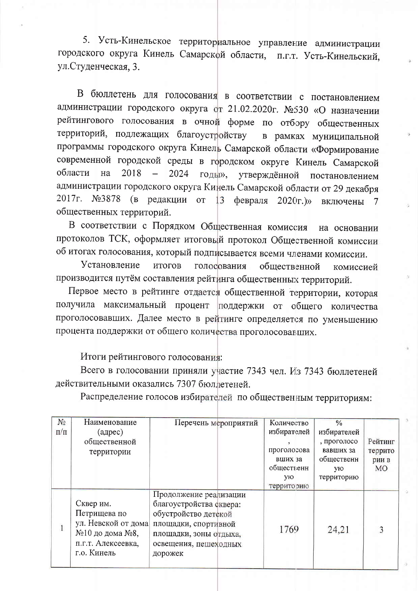5. Усть-Кинельское территориальное управление администрации городского округа Кинель Самарской области, п.г.т. Усть-Кинельский, ул. Студенческая, 3.

В бюллетень для голосования в соответствии с постановлением администрации городского округа от 21.02.2020г. №530 «О назначении рейтингового голосования в очной форме по отбору общественных территорий, подлежащих благоустройству в рамках муниципальной программы городского округа Кинель Самарской области «Формирование современной городской среды в городском округе Кинель Самарской области 2018 на  $\equiv$ 2024 годы». утверждённой постановлением администрации городского округа Кинель Самарской области от 29 декабря 2017г. №3878 (в редакции от 13 февраля  $2020r.$ )» включены 7 общественных территорий.

В соответствии с Порядком Общественная комиссия на основании протоколов ТСК, оформляет итоговый протокол Общественной комиссии об итогах голосования, который подписывается всеми членами комиссии.

Установление ИТОГОВ голосования общественной комиссией производится путём составления рейтинга общественных территорий.

Первое место в рейтинге отдается общественной территории, которая получила максимальный процент поддержки от общего количества проголосовавших. Далее место в рейтинге определяется по уменьшению процента поддержки от общего количества проголосовавших.

### Итоги рейтингового голосования:

Всего в голосовании приняли участие 7343 чел. Из 7343 бюллетеней действительными оказались 7307 бюллетеней.

Распределение голосов избирателей по общественным территориям:

| $N_2$     | Наименование                                                                                             | Перечень мероприятий                                                                                                                                            | Количество  | $\frac{0}{6}$ |         |
|-----------|----------------------------------------------------------------------------------------------------------|-----------------------------------------------------------------------------------------------------------------------------------------------------------------|-------------|---------------|---------|
| $\Pi/\Pi$ | (адрес)                                                                                                  |                                                                                                                                                                 | избирателей | избирателей   |         |
|           | общественной                                                                                             |                                                                                                                                                                 |             | , проголосо   | Рейтинг |
|           | территории                                                                                               |                                                                                                                                                                 | проголосова | вавших за     | террито |
|           |                                                                                                          |                                                                                                                                                                 | вших за     | общественн    | рии в   |
|           |                                                                                                          |                                                                                                                                                                 | общественн  | ую.           | MO      |
|           |                                                                                                          |                                                                                                                                                                 | ую          | территорию    |         |
|           |                                                                                                          |                                                                                                                                                                 | территорию  |               |         |
|           | Сквер им.<br>Петрищева по<br>ул. Невской от дома<br>№10 до дома №8,<br>п.г.т. Алексеевка,<br>г.о. Кинель | Продолжение реализации<br>благоустройства сквера:<br>обустройство детской<br>площадки, спортивной<br>площадки, зоны отдыха,<br>освещения, пешеходных<br>дорожек | 1769        | 24,21         | 3       |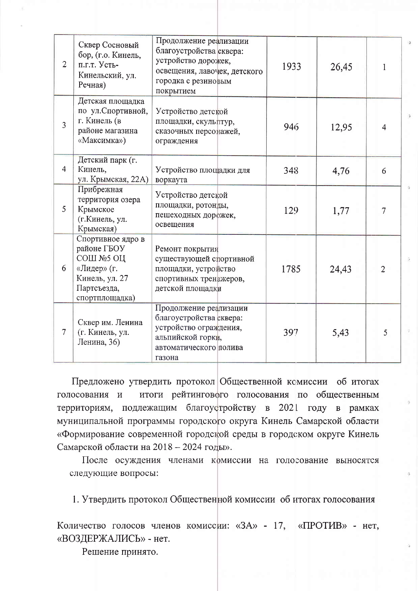| $\overline{2}$ | Сквер Сосновый<br>бор, (г.о. Кинель,<br>п.г.т. Усть-<br>Кинельский, ул.<br>Речная)                              | Продолжение реализации<br>благоустройства сквера:<br>устройство дорожек,<br>освещения, лавочек, детского<br>городка с резиновым<br>покрытием | 1933 | 26,45 | 1              |
|----------------|-----------------------------------------------------------------------------------------------------------------|----------------------------------------------------------------------------------------------------------------------------------------------|------|-------|----------------|
| $\overline{3}$ | Детская площадка<br>по ул. Спортивной,<br>г. Кинель (в<br>районе магазина<br>«Максимка»)                        | Устройство детской<br>площадки, скульптур,<br>сказочных персонажей,<br>ограждения                                                            | 946  | 12,95 | 4              |
| $\overline{4}$ | Детский парк (г.<br>Кинель,<br>ул. Крымская, 22А)                                                               | Устройство площадки для<br>воркаута                                                                                                          | 348  | 4,76  | 6              |
| 5              | Прибрежная<br>территория озера<br>Крымское<br>(г.Кинель, ул.<br>Крымская)                                       | Устройство детской<br>площадки, ротонды,<br>пешеходных дорожек,<br>освещения                                                                 | 129  | 1,77  | 7              |
| 6              | Спортивное ядро в<br>районе ГБОУ<br>СОШ №5 ОЦ<br>«Лидер» (г.<br>Кинель, ул. 27<br>Партсъезда,<br>спортплощадка) | Ремонт покрытия<br>существующей спортивной<br>площадки, устройство<br>спортивных тренажеров,<br>детской площадки                             | 1785 | 24,43 | $\overline{2}$ |
| $\overline{7}$ | Сквер им. Ленина<br>(г. Кинель, ул.<br>Ленина, 36)                                                              | Продолжение реализации<br>благоустройства сквера:<br>устройство ограждения,<br>альпийской горки,<br>автоматического полива<br>газона         | 397  | 5,43  | 5              |

Предложено утвердить протокол Общественной комиссии об итогах итоги рейтингового голосования по общественным голосования и территориям, подлежащим благоустройству в 2021 году в рамках муниципальной программы городского округа Кинель Самарской области «Формирование современной городской среды в городском округе Кинель Самарской области на 2018 - 2024 годы».

После осуждения членами комиссии на голосование выносятся следующие вопросы:

1. Утвердить протокол Общественной комиссии об итогах голосования

Количество голосов членов комиссии: «ЗА» - 17, «ПРОТИВ» - нет, «ВОЗДЕРЖАЛИСЬ» - нет.

Решение принято.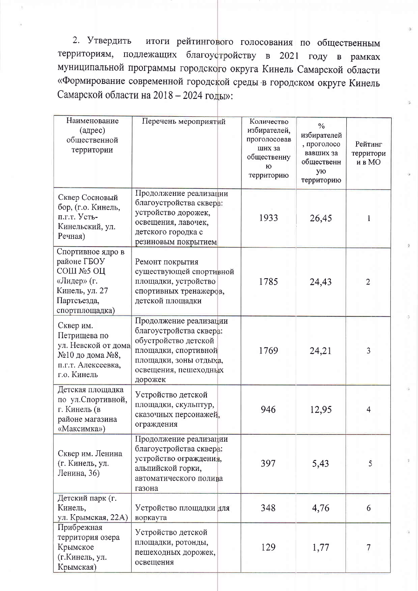итоги рейтингового голосования по общественным 2. Утвердить территориям, подлежащих благоустройству в 2021 году в рамках муниципальной программы городского округа Кинель Самарской области «Формирование современной городской среды в городском округе Кинель Самарской области на 2018 - 2024 годы»:

| Наименование<br>(адрес)<br>общественной<br>территории                                                           | Перечень мероприятий                                                                                                                                            | Количество<br>избирателей,<br>проголосовав<br>ших за<br>общественну<br>Ю<br>территорию | $\frac{0}{0}$<br>избирателей<br>, проголосо<br>вавших за<br>общественн<br>ую<br>территорию | Рейтинг<br>территори<br>и в МО |
|-----------------------------------------------------------------------------------------------------------------|-----------------------------------------------------------------------------------------------------------------------------------------------------------------|----------------------------------------------------------------------------------------|--------------------------------------------------------------------------------------------|--------------------------------|
| Сквер Сосновый<br>бор, (г.о. Кинель,<br>п.г.т. Усть-<br>Кинельский, ул.<br>Речная)                              | Продолжение реализации<br>благоустройства сквера:<br>устройство дорожек,<br>освещения, лавочек,<br>детского городка с<br>резиновым покрытием                    | 1933                                                                                   | 26,45                                                                                      | 1                              |
| Спортивное ядро в<br>районе ГБОУ<br>СОШ №5 ОЦ<br>«Лидер» (г.<br>Кинель, ул. 27<br>Партсъезда,<br>спортплощадка) | Ремонт покрытия<br>существующей спортивной<br>площадки, устройство<br>спортивных тренажеров,<br>детской площадки                                                | 1785                                                                                   | 24,43                                                                                      | $\overline{2}$                 |
| Сквер им.<br>Петрищева по<br>ул. Невской от дома<br>№10 до дома №8,<br>п.г.т. Алексеевка,<br>г.о. Кинель        | Продолжение реализации<br>благоустройства сквера:<br>обустройство детской<br>площадки, спортивной<br>площадки, зоны отдыха,<br>освещения, пешеходных<br>дорожек | 1769                                                                                   | 24,21                                                                                      | 3                              |
| Детская площадка<br>по ул. Спортивной,<br>г. Кинель (в<br>районе магазина<br>«Максимка»)                        | Устройство детской<br>площадки, скульптур,<br>сказочных персонажей,<br>ограждения                                                                               | 946                                                                                    | 12,95                                                                                      | $\overline{4}$                 |
| Сквер им. Ленина<br>(г. Кинель, ул.<br>Ленина, 36)                                                              | Продолжение реализации<br>благоустройства сквера:<br>устройство ограждения,<br>альпийской горки,<br>автоматического полива<br>газона                            | 397                                                                                    | 5,43                                                                                       | 5                              |
| Детский парк (г.<br>Кинель,<br>ул. Крымская, 22А)                                                               | Устройство площадки для<br>воркаута                                                                                                                             | 348                                                                                    | 4,76                                                                                       | 6                              |
| Прибрежная<br>территория озера<br>Крымское<br>(г.Кинель, ул.<br>Крымская)                                       | Устройство детской<br>площадки, ротонды,<br>пешеходных дорожек,<br>освещения                                                                                    | 129                                                                                    | 1,77                                                                                       | 7                              |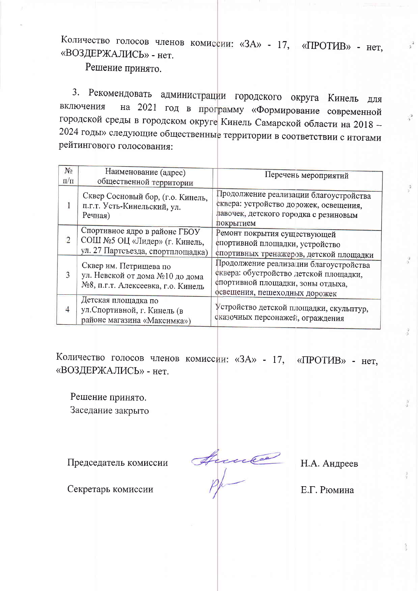Количество голосов членов комиссии: «ЗА» - 17, «ПРОТИВ» - нет, «ВОЗДЕРЖАЛИСЬ» - нет.

Решение принято.

3. Рекомендовать администрации городского округа Кинель  $RILL$ на 2021 год в программу «Формирование современной включения городской среды в городском округе Кинель Самарской области на 2018 -2024 годы» следующие общественные территории в соответствии с итогами рейтингового голосования:

| $N_2$<br>$\Pi/\Pi$ | Наименование (адрес)<br>общественной территории                                                     | Перечень мероприятий                                                                                                                                   |
|--------------------|-----------------------------------------------------------------------------------------------------|--------------------------------------------------------------------------------------------------------------------------------------------------------|
|                    | Сквер Сосновый бор, (г.о. Кинель,<br>п.г.т. Усть-Кинельский, ул.<br>Речная)                         | Продолжение реализации благоустройства<br>сквера: устройство дорожек, освещения,<br>лавочек, детского городка с резиновым<br>покрытием                 |
| $\mathcal{D}$      | Спортивное ядро в районе ГБОУ<br>СОШ №5 ОЦ «Лидер» (г. Кинель,<br>ул. 27 Партсъезда, спортплощадка) | Ремонт покрытия существующей<br>спортивной площадки, устройство<br>спортивных тренажеров, детской площадки                                             |
|                    | Сквер им. Петрищева по<br>ул. Невской от дома №10 до дома<br>№8, п.г.т. Алексеевка, г.о. Кинель     | Продолжение реализации благоустройства<br>сквера: обустройство детской площадки,<br>спортивной площадки, зоны отдыха,<br>освещения, пешеходных дорожек |
|                    | Детская площадка по<br>ул. Спортивной, г. Кинель (в<br>районе магазина «Максимка»)                  | Устройство детской площадки, скульптур,<br>сказочных персонажей, ограждения                                                                            |

Количество голосов членов комиссии: «ЗА» - 17, «ПРОТИВ» - нет, «ВОЗДЕРЖАЛИСЬ» - нет.

Решение принято. Заседание закрыто

Председатель комиссии

Anne

Н.А. Андреев

Е.Г. Рюмина

Секретарь комиссии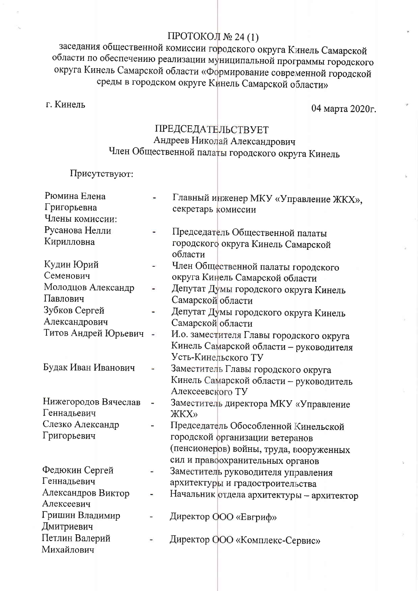# ПРОТОКОЛ № 24 (1)

заседания общественной комиссии городского округа Кинель Самарской области по обеспечению реализации муниципальной программы городского округа Кинель Самарской области «Формирование современной городской среды в городском округе Кинель Самарской области»

г. Кинель

04 марта 2020г.

# **ПРЕДСЕДАТЕЛЬСТВУЕТ** Андреев Николай Александрович Член Общественной палаты городского округа Кинель

Присутствуют:

| Рюмина Елена         |               | Главный инженер МКУ «Управление ЖКХ»,     |
|----------------------|---------------|-------------------------------------------|
| Григорьевна          |               | секретарь комиссии                        |
| Члены комиссии:      |               |                                           |
| Русанова Нелли       |               | Председатель Общественной палаты          |
| Кирилловна           |               | городского округа Кинель Самарской        |
|                      |               | области                                   |
| Кудин Юрий           |               | Член Общественной палаты городского       |
| Семенович            |               | округа Кинель Самарской области           |
| Молодцов Александр   |               | Депутат Думы городского округа Кинель     |
| Павлович             |               | Самарской области                         |
| Зубков Сергей        |               | Депутат Думы городского округа Кинель     |
| Александрович        |               | Самарской области                         |
| Титов Андрей Юрьевич | $\frac{1}{2}$ | И.о. заместителя Главы городского округа  |
|                      |               | Кинель Самарской области - руководителя   |
|                      |               | Усть-Кинельского ТУ                       |
| Будак Иван Иванович  |               | Заместитель Главы городского округа       |
|                      |               | Кинель Самарской области - руководитель   |
|                      |               | Алексеевского ТУ                          |
| Нижегородов Вячеслав |               | Заместитель директора МКУ «Управление     |
| Геннадьевич          |               | <b>ЖКХ»</b>                               |
| Слезко Александр     |               | Председатель Обособленной Кинельской      |
| Григорьевич          |               | городской организации ветеранов           |
|                      |               | (пенсионеров) войны, труда, вооруженных   |
|                      |               | сил и правоохранительных органов          |
| Федюкин Сергей       |               | Заместитель руководителя управления       |
| Геннадьевич          |               | архитектуры и градостроительства          |
| Александров Виктор   |               | Начальник отдела архитектуры - архитектор |
| Алексеевич           |               |                                           |
| Гришин Владимир      |               | Директор ООО «Евгриф»                     |
| Дмитриевич           |               |                                           |
| Петлин Валерий       |               | Директор ООО «Комплекс-Сервис»            |
| Михайлович           |               |                                           |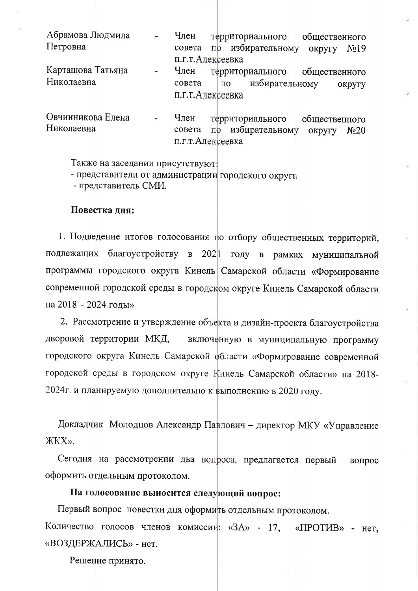| Абрамова Людмила<br>Петровна | $\bullet$      | Член<br>совета | территориального<br>общественного<br>избирательному<br>N <sub>2</sub> 19<br>округу<br>$\overline{10}$ |
|------------------------------|----------------|----------------|-------------------------------------------------------------------------------------------------------|
|                              |                |                | п.г.т.Алексеевка                                                                                      |
| Карташова Татьяна            | ж.             | Член           | территориального<br>общественного                                                                     |
| Николаевна                   |                | совета         | избирательному<br>по<br>округу                                                                        |
|                              |                |                | п.г.т.Алексеевка                                                                                      |
|                              |                |                |                                                                                                       |
| Овчинникова Елена            | $\blacksquare$ | Член           | территориального<br>общественного                                                                     |
| Николаевна                   |                | совета         | избирательному<br>N <sub>20</sub><br>ОКРУГУ                                                           |

п.г.т.Алексеевка

Также на заседании присутствуют:

- представители от администрации городского округа

- представитель СМИ.

#### Повестка дня:

1. Подведение итогов голосования по отбору общественных территорий, подлежащих благоустройству в 2021 году в рамках муниципальной программы городского округа Кинель Самарской области «Формирование современной городской среды в городском округе Кинель Самарской области на 2018 - 2024 годы»

2. Рассмотрение и утверждение объекта и дизайн-проекта благоустройства дворовой территории МКД, включенную в муниципальную программу городского округа Кинель Самарской области «Формирование современной городской среды в городском округе Кинель Самарской области» на 2018-2024г. и планируемую дополнительно к выполнению в 2020 году.

Докладчик Молодцов Александр Павлович - директор МКУ «Управление ЖКХ».

Сегодня на рассмотрении два вопроса, предлагается первый вопрос оформить отдельным протоколом.

#### На голосование выносится следующий вопрос:

Первый вопрос повестки дня оформить отдельным протоколом. Количество голосов членов комиссии: «ЗА» - 17,  $\kappa$ IIPOT $\mu$ B» - нет. «ВОЗДЕРЖАЛИСЬ» - нет.

Решение принято.